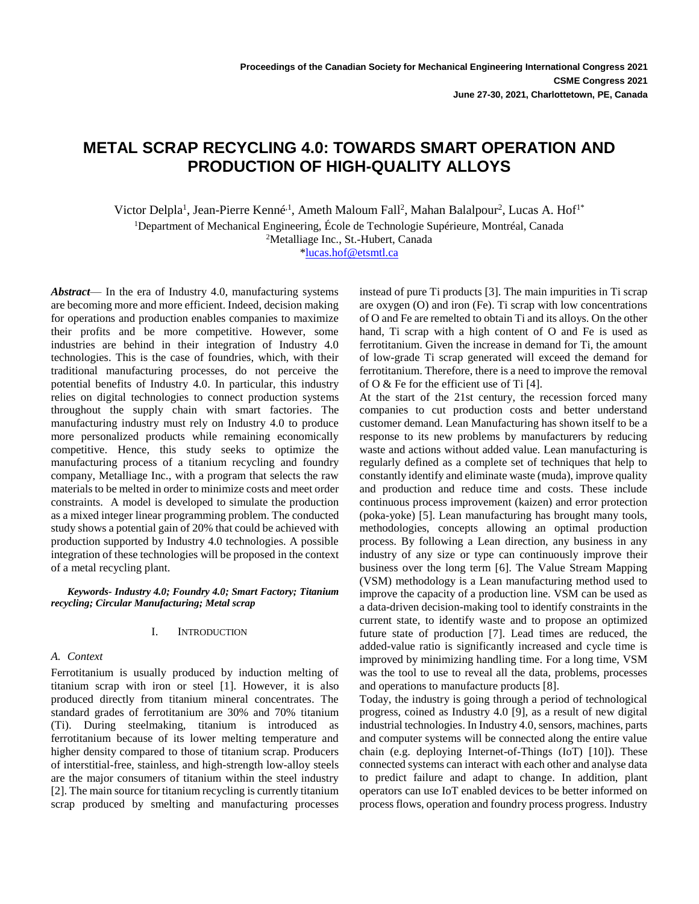# **METAL SCRAP RECYCLING 4.0: TOWARDS SMART OPERATION AND PRODUCTION OF HIGH-QUALITY ALLOYS**

Victor Delpla<sup>1</sup>, Jean-Pierre Kenné<sup>, 1</sup>, Ameth Maloum Fall<sup>2</sup>, Mahan Balalpour<sup>2</sup>, Lucas A. Hof<sup>1\*</sup> <sup>1</sup>Department of Mechanical Engineering, École de Technologie Supérieure, Montréal, Canada <sup>2</sup>Metalliage Inc., St.-Hubert, Canada

[\\*lucas.hof@etsmtl.ca](mailto:lucas.hof@etsmtl.ca) 

*Abstract*— In the era of Industry 4.0, manufacturing systems are becoming more and more efficient. Indeed, decision making for operations and production enables companies to maximize their profits and be more competitive. However, some industries are behind in their integration of Industry 4.0 technologies. This is the case of foundries, which, with their traditional manufacturing processes, do not perceive the potential benefits of Industry 4.0. In particular, this industry relies on digital technologies to connect production systems throughout the supply chain with smart factories. The manufacturing industry must rely on Industry 4.0 to produce more personalized products while remaining economically competitive. Hence, this study seeks to optimize the manufacturing process of a titanium recycling and foundry company, Metalliage Inc., with a program that selects the raw materials to be melted in order to minimize costs and meet order constraints. A model is developed to simulate the production as a mixed integer linear programming problem. The conducted study shows a potential gain of 20% that could be achieved with production supported by Industry 4.0 technologies. A possible integration of these technologies will be proposed in the context of a metal recycling plant.

*Keywords- Industry 4.0; Foundry 4.0; Smart Factory; Titanium recycling; Circular Manufacturing; Metal scrap*

#### I. INTRODUCTION

## *A. Context*

Ferrotitanium is usually produced by induction melting of titanium scrap with iron or steel [1]. However, it is also produced directly from titanium mineral concentrates. The standard grades of ferrotitanium are 30% and 70% titanium (Ti). During steelmaking, titanium is introduced as ferrotitanium because of its lower melting temperature and higher density compared to those of titanium scrap. Producers of interstitial-free, stainless, and high-strength low-alloy steels are the major consumers of titanium within the steel industry [2]. The main source for titanium recycling is currently titanium scrap produced by smelting and manufacturing processes

instead of pure Ti products [3]. The main impurities in Ti scrap are oxygen (O) and iron (Fe). Ti scrap with low concentrations of O and Fe are remelted to obtain Ti and its alloys. On the other hand, Ti scrap with a high content of O and Fe is used as ferrotitanium. Given the increase in demand for Ti, the amount of low-grade Ti scrap generated will exceed the demand for ferrotitanium. Therefore, there is a need to improve the removal of O & Fe for the efficient use of Ti [4].

At the start of the 21st century, the recession forced many companies to cut production costs and better understand customer demand. Lean Manufacturing has shown itself to be a response to its new problems by manufacturers by reducing waste and actions without added value. Lean manufacturing is regularly defined as a complete set of techniques that help to constantly identify and eliminate waste (muda), improve quality and production and reduce time and costs. These include continuous process improvement (kaizen) and error protection (poka-yoke) [5]. Lean manufacturing has brought many tools, methodologies, concepts allowing an optimal production process. By following a Lean direction, any business in any industry of any size or type can continuously improve their business over the long term [6]. The Value Stream Mapping (VSM) methodology is a Lean manufacturing method used to improve the capacity of a production line. VSM can be used as a data-driven decision-making tool to identify constraints in the current state, to identify waste and to propose an optimized future state of production [7]. Lead times are reduced, the added-value ratio is significantly increased and cycle time is improved by minimizing handling time. For a long time, VSM was the tool to use to reveal all the data, problems, processes and operations to manufacture products [8].

Today, the industry is going through a period of technological progress, coined as Industry 4.0 [9], as a result of new digital industrial technologies. In Industry 4.0, sensors, machines, parts and computer systems will be connected along the entire value chain (e.g. deploying Internet-of-Things (IoT) [10]). These connected systems can interact with each other and analyse data to predict failure and adapt to change. In addition, plant operators can use IoT enabled devices to be better informed on process flows, operation and foundry process progress. Industry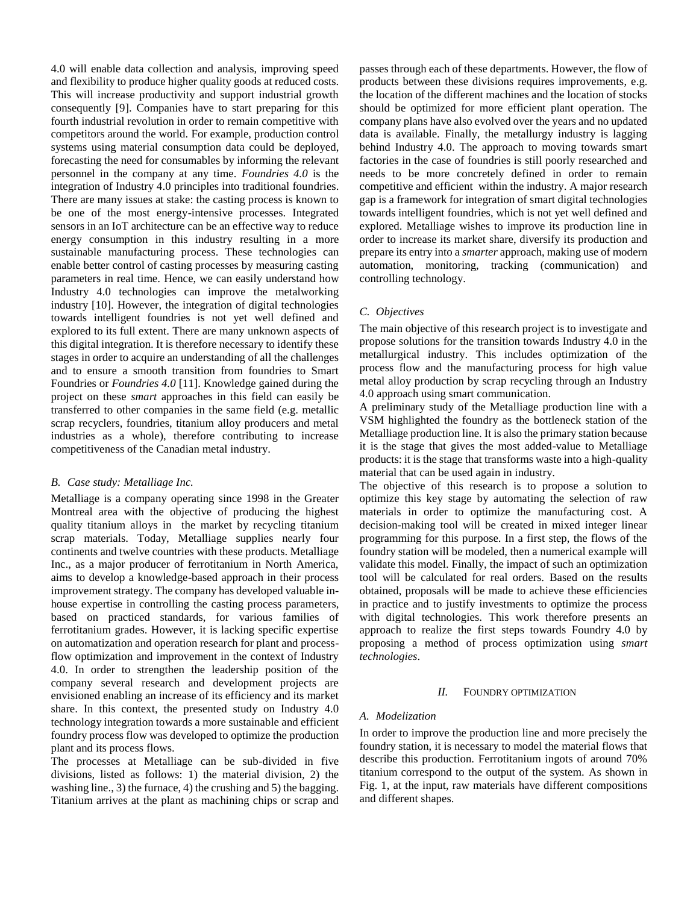4.0 will enable data collection and analysis, improving speed and flexibility to produce higher quality goods at reduced costs. This will increase productivity and support industrial growth consequently [9]. Companies have to start preparing for this fourth industrial revolution in order to remain competitive with competitors around the world. For example, production control systems using material consumption data could be deployed, forecasting the need for consumables by informing the relevant personnel in the company at any time. *Foundries 4.0* is the integration of Industry 4.0 principles into traditional foundries. There are many issues at stake: the casting process is known to be one of the most energy-intensive processes. Integrated sensors in an IoT architecture can be an effective way to reduce energy consumption in this industry resulting in a more sustainable manufacturing process. These technologies can enable better control of casting processes by measuring casting parameters in real time. Hence, we can easily understand how Industry 4.0 technologies can improve the metalworking industry [10]. However, the integration of digital technologies towards intelligent foundries is not yet well defined and explored to its full extent. There are many unknown aspects of this digital integration. It is therefore necessary to identify these stages in order to acquire an understanding of all the challenges and to ensure a smooth transition from foundries to Smart Foundries or *Foundries 4.0* [11]. Knowledge gained during the project on these *smart* approaches in this field can easily be transferred to other companies in the same field (e.g. metallic scrap recyclers, foundries, titanium alloy producers and metal industries as a whole), therefore contributing to increase competitiveness of the Canadian metal industry.

#### *B. Case study: Metalliage Inc.*

Metalliage is a company operating since 1998 in the Greater Montreal area with the objective of producing the highest quality titanium alloys in the market by recycling titanium scrap materials. Today, Metalliage supplies nearly four continents and twelve countries with these products. Metalliage Inc., as a major producer of ferrotitanium in North America, aims to develop a knowledge-based approach in their process improvement strategy. The company has developed valuable inhouse expertise in controlling the casting process parameters, based on practiced standards, for various families of ferrotitanium grades. However, it is lacking specific expertise on automatization and operation research for plant and processflow optimization and improvement in the context of Industry 4.0. In order to strengthen the leadership position of the company several research and development projects are envisioned enabling an increase of its efficiency and its market share. In this context, the presented study on Industry 4.0 technology integration towards a more sustainable and efficient foundry process flow was developed to optimize the production plant and its process flows.

The processes at Metalliage can be sub-divided in five divisions, listed as follows: 1) the material division, 2) the washing line., 3) the furnace, 4) the crushing and 5) the bagging. Titanium arrives at the plant as machining chips or scrap and passes through each of these departments. However, the flow of products between these divisions requires improvements, e.g. the location of the different machines and the location of stocks should be optimized for more efficient plant operation. The company plans have also evolved over the years and no updated data is available. Finally, the metallurgy industry is lagging behind Industry 4.0. The approach to moving towards smart factories in the case of foundries is still poorly researched and needs to be more concretely defined in order to remain competitive and efficient within the industry. A major research gap is a framework for integration of smart digital technologies towards intelligent foundries, which is not yet well defined and explored. Metalliage wishes to improve its production line in order to increase its market share, diversify its production and prepare its entry into a *smarter* approach, making use of modern automation, monitoring, tracking (communication) and controlling technology.

## *C. Objectives*

The main objective of this research project is to investigate and propose solutions for the transition towards Industry 4.0 in the metallurgical industry. This includes optimization of the process flow and the manufacturing process for high value metal alloy production by scrap recycling through an Industry 4.0 approach using smart communication.

A preliminary study of the Metalliage production line with a VSM highlighted the foundry as the bottleneck station of the Metalliage production line. It is also the primary station because it is the stage that gives the most added-value to Metalliage products: it is the stage that transforms waste into a high-quality material that can be used again in industry.

The objective of this research is to propose a solution to optimize this key stage by automating the selection of raw materials in order to optimize the manufacturing cost. A decision-making tool will be created in mixed integer linear programming for this purpose. In a first step, the flows of the foundry station will be modeled, then a numerical example will validate this model. Finally, the impact of such an optimization tool will be calculated for real orders. Based on the results obtained, proposals will be made to achieve these efficiencies in practice and to justify investments to optimize the process with digital technologies. This work therefore presents an approach to realize the first steps towards Foundry 4.0 by proposing a method of process optimization using *smart technologies*.

#### *II.* FOUNDRY OPTIMIZATION

#### *A. Modelization*

In order to improve the production line and more precisely the foundry station, it is necessary to model the material flows that describe this production. Ferrotitanium ingots of around 70% titanium correspond to the output of the system. As shown in Fig. 1, at the input, raw materials have different compositions and different shapes.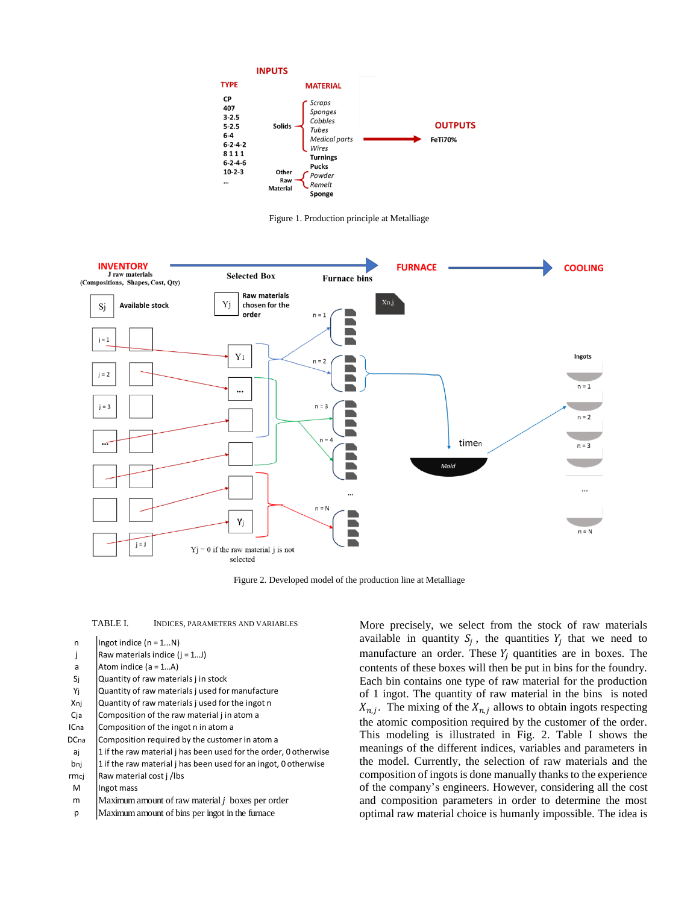

Figure 1. Production principle at Metalliage



Figure 2. Developed model of the production line at Metalliage

- n |  $\ln$ got indice (n = 1...N)
- j Raw materials indice  $(j = 1...J)$
- a Atom indice  $(a = 1...A)$
- Sj Quantity of raw materials j in stock
- Yj Quantity of raw materials j used for manufacture
- Xnj Quantity of raw materials j used for the ingot n
- $C_j$  a Composition of the raw material j in atom a
- ICna Composition of the ingot n in atom a
- DCna Composition required by the customer in atom a
- aj | 1 if the raw material j has been used for the order, 0 otherwise
- bnj  $\vert$ 1 if the raw material j has been used for an ingot, 0 otherwise
- $rmc$   $\vert$  Raw material cost  $j$  /lbs
- M | Ingot mass
- <sup>m</sup> Maximum amount of raw material *j* boxes per order
- <sup>p</sup> Maximum amount of bins per ingot in the furnace

TABLE I. INDICES, PARAMETERS AND VARIABLES More precisely, we select from the stock of raw materials available in quantity  $S_j$ , the quantities  $Y_j$  that we need to manufacture an order. These  $Y_i$  quantities are in boxes. The contents of these boxes will then be put in bins for the foundry. Each bin contains one type of raw material for the production of 1 ingot. The quantity of raw material in the bins is noted  $X_{n,j}$ . The mixing of the  $X_{n,j}$  allows to obtain ingots respecting the atomic composition required by the customer of the order. This modeling is illustrated in Fig. 2. Table I shows the meanings of the different indices, variables and parameters in the model. Currently, the selection of raw materials and the composition of ingots is done manually thanks to the experience of the company's engineers. However, considering all the cost and composition parameters in order to determine the most optimal raw material choice is humanly impossible. The idea is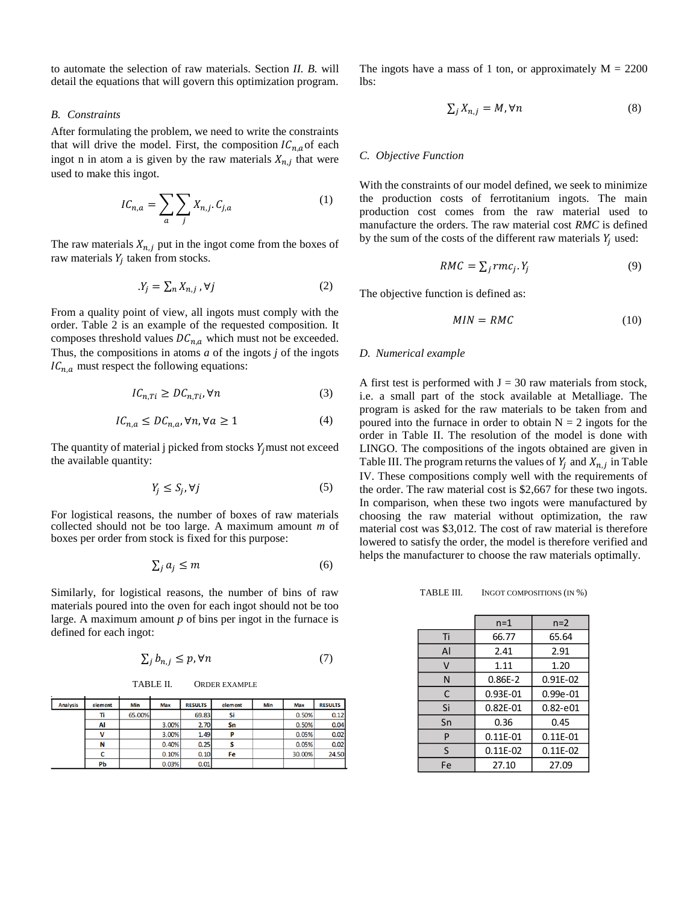to automate the selection of raw materials. Section *II. B.* will detail the equations that will govern this optimization program.

## *B. Constraints*

After formulating the problem, we need to write the constraints that will drive the model. First, the composition  $IC_{n,a}$  of each ingot n in atom a is given by the raw materials  $X_{n,j}$  that were used to make this ingot.

$$
IC_{n,a} = \sum_{a} \sum_{j} X_{n,j} \cdot C_{j,a} \tag{1}
$$

The raw materials  $X_{n,j}$  put in the ingot come from the boxes of raw materials  $Y_j$  taken from stocks.

$$
Y_j = \sum_n X_{n,j}, \forall j \tag{2}
$$

From a quality point of view, all ingots must comply with the order. Table 2 is an example of the requested composition. It composes threshold values  $DC_{n,a}$  which must not be exceeded. Thus, the compositions in atoms *a* of the ingots *j* of the ingots  $IC_{n,a}$  must respect the following equations:

$$
IC_{n, Ti} \ge DC_{n, Ti}, \forall n \tag{3}
$$

$$
IC_{n,a} \le DC_{n,a}, \forall n, \forall a \ge 1 \tag{4}
$$

The quantity of material j picked from stocks  $Y_i$  must not exceed the available quantity:

$$
Y_j \le S_j, \forall j \tag{5}
$$

For logistical reasons, the number of boxes of raw materials collected should not be too large. A maximum amount *m* of boxes per order from stock is fixed for this purpose:

$$
\sum_{j} a_j \le m \tag{6}
$$

Similarly, for logistical reasons, the number of bins of raw materials poured into the oven for each ingot should not be too large. A maximum amount *p* of bins per ingot in the furnace is defined for each ingot:

$$
\sum_{j} b_{n,j} \le p, \forall n \tag{7}
$$

TABLE II. ORDER EXAMPLE

| <b>Analysis</b> | element      | Min    | <b>Max</b> | <b>RESULTS</b> | element | Min | <b>Max</b> | <b>RESULTS</b> |
|-----------------|--------------|--------|------------|----------------|---------|-----|------------|----------------|
|                 | Ti           | 65.00% |            | 69.83          | Si      |     | 0.50%      | 0.12           |
|                 | Al           |        | $3.00\%$   | 2.70           | Sn      |     | 0.50%      | 0.04           |
|                 | $\mathbf{v}$ |        | $3.00\%$   | 1.49           | P       |     | 0.05%      | 0.02           |
|                 | N            |        | 0.40%      | 0.25           |         |     | 0.05%      | 0.02           |
|                 |              |        | 0.10%      | 0.10           | Fe      |     | 30,00%     | 24.50          |
|                 | Pb           |        | 0.03%      | 0.01           |         |     |            |                |

The ingots have a mass of 1 ton, or approximately  $M = 2200$ lbs:

$$
\sum_{j} X_{n,j} = M, \forall n \tag{8}
$$

#### *C. Objective Function*

With the constraints of our model defined, we seek to minimize the production costs of ferrotitanium ingots. The main production cost comes from the raw material used to manufacture the orders. The raw material cost *RMC* is defined by the sum of the costs of the different raw materials  $Y_i$  used:

$$
RMC = \sum_{j} rmc_j. Y_j \tag{9}
$$

The objective function is defined as:

$$
MIN = RMC \tag{10}
$$

### *D. Numerical example*

A first test is performed with  $J = 30$  raw materials from stock, i.e. a small part of the stock available at Metalliage. The program is asked for the raw materials to be taken from and poured into the furnace in order to obtain  $N = 2$  ingots for the order in Table II. The resolution of the model is done with LINGO. The compositions of the ingots obtained are given in Table III. The program returns the values of  $Y_j$  and  $X_{n,j}$  in Table IV. These compositions comply well with the requirements of the order. The raw material cost is \$2,667 for these two ingots. In comparison, when these two ingots were manufactured by choosing the raw material without optimization, the raw material cost was \$3,012. The cost of raw material is therefore lowered to satisfy the order, the model is therefore verified and helps the manufacturer to choose the raw materials optimally.

TABLE III. INGOT COMPOSITIONS (IN %)

|    | $n=1$        | $n=2$        |
|----|--------------|--------------|
| Τi | 66.77        | 65.64        |
| Al | 2.41         | 2.91         |
| v  | 1.11         | 1.20         |
| N  | 0.86E-2      | $0.91E-02$   |
| C  | $0.93E-01$   | $0.99e-01$   |
| Si | $0.82E - 01$ | $0.82 - e01$ |
| Sn | 0.36         | 0.45         |
| P  | $0.11E-01$   | $0.11E-01$   |
| S  | $0.11E-02$   | $0.11E-02$   |
| Fe | 27.10        | 27.09        |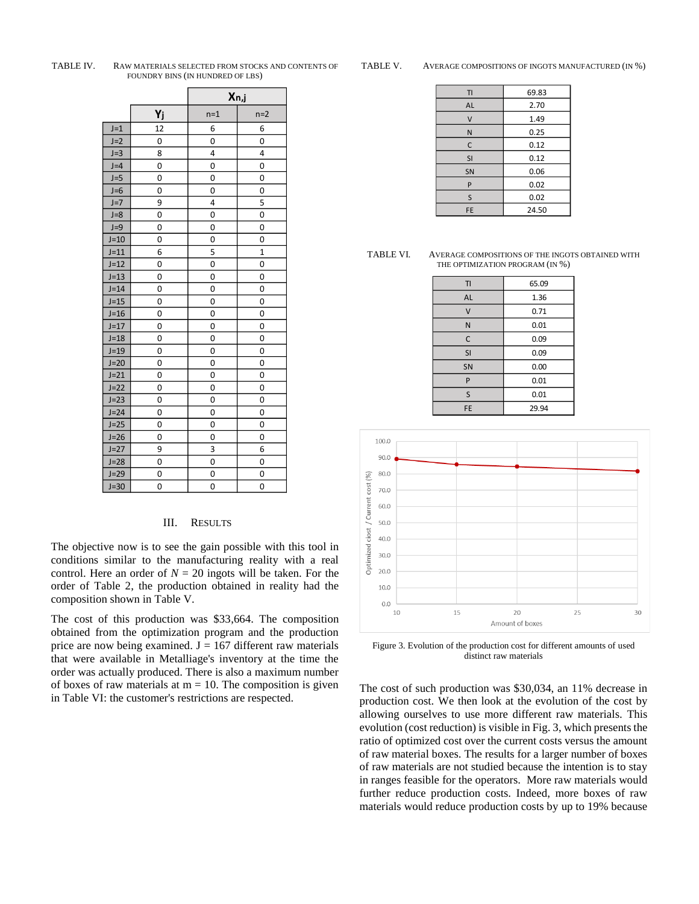|        |    | Xn,j  |                |
|--------|----|-------|----------------|
|        | Yj | $n=1$ | $n=2$          |
| $J=1$  | 12 | 6     | 6              |
| $J=2$  | 0  | 0     | 0              |
| $J=3$  | 8  | 4     | 4              |
| $J=4$  | 0  | 0     | 0              |
| $J=5$  | 0  | 0     | 0              |
| $J=6$  | 0  | 0     | 0              |
| $J=7$  | 9  | 4     | 5              |
| $J=8$  | 0  | 0     | 0              |
| $J=9$  | 0  | 0     | 0              |
| $J=10$ | 0  | 0     | 0              |
| $J=11$ | 6  | 5     | $\overline{1}$ |
| $J=12$ | 0  | 0     | 0              |
| $J=13$ | 0  | 0     | 0              |
| $J=14$ | 0  | 0     | 0              |
| $J=15$ | 0  | 0     | 0              |
| $J=16$ | 0  | 0     | 0              |
| $J=17$ | 0  | 0     | 0              |
| $J=18$ | 0  | 0     | 0              |
| $J=19$ | 0  | 0     | 0              |
| $J=20$ | 0  | 0     | 0              |
| $J=21$ | 0  | 0     | 0              |
| $J=22$ | 0  | 0     | 0              |
| $J=23$ | 0  | 0     | 0              |
| $J=24$ | 0  | 0     | 0              |
| $J=25$ | 0  | 0     | 0              |
| $J=26$ | 0  | 0     | 0              |
| $J=27$ | 9  | 3     | 6              |
| $J=28$ | 0  | 0     | 0              |
| $J=29$ | 0  | 0     | 0              |
| $J=30$ | 0  | 0     | 0              |

#### TABLE IV. RAW MATERIALS SELECTED FROM STOCKS AND CONTENTS OF FOUNDRY BINS (IN HUNDRED OF LBS)

TABLE V. AVERAGE COMPOSITIONS OF INGOTS MANUFACTURED (IN %)

| TI        | 69.83 |
|-----------|-------|
| <b>AL</b> | 2.70  |
| V         | 1.49  |
| N         | 0.25  |
| С         | 0.12  |
| SI        | 0.12  |
| <b>SN</b> | 0.06  |
| P         | 0.02  |
| S         | 0.02  |
| FE        | 24.50 |

| TABLE VI. | AVERAGE COMPOSITIONS OF THE INGOTS OBTAINED WITH |
|-----------|--------------------------------------------------|
|           | THE OPTIMIZATION PROGRAM (IN %)                  |

| TI        | 65.09 |
|-----------|-------|
| AL        | 1.36  |
| V         | 0.71  |
| N         | 0.01  |
| C         | 0.09  |
| SI        | 0.09  |
| <b>SN</b> | 0.00  |
| P         | 0.01  |
| S         | 0.01  |
| FE        | 29.94 |



Figure 3. Evolution of the production cost for different amounts of used distinct raw materials

The cost of such production was \$30,034, an 11% decrease in production cost. We then look at the evolution of the cost by allowing ourselves to use more different raw materials. This evolution (cost reduction) is visible in Fig. 3, which presents the ratio of optimized cost over the current costs versus the amount of raw material boxes. The results for a larger number of boxes of raw materials are not studied because the intention is to stay in ranges feasible for the operators. More raw materials would further reduce production costs. Indeed, more boxes of raw materials would reduce production costs by up to 19% because

#### III. RESULTS

The objective now is to see the gain possible with this tool in conditions similar to the manufacturing reality with a real control. Here an order of  $N = 20$  ingots will be taken. For the order of Table 2, the production obtained in reality had the composition shown in Table V.

The cost of this production was \$33,664. The composition obtained from the optimization program and the production price are now being examined.  $J = 167$  different raw materials that were available in Metalliage's inventory at the time the order was actually produced. There is also a maximum number of boxes of raw materials at  $m = 10$ . The composition is given in Table VI: the customer's restrictions are respected.